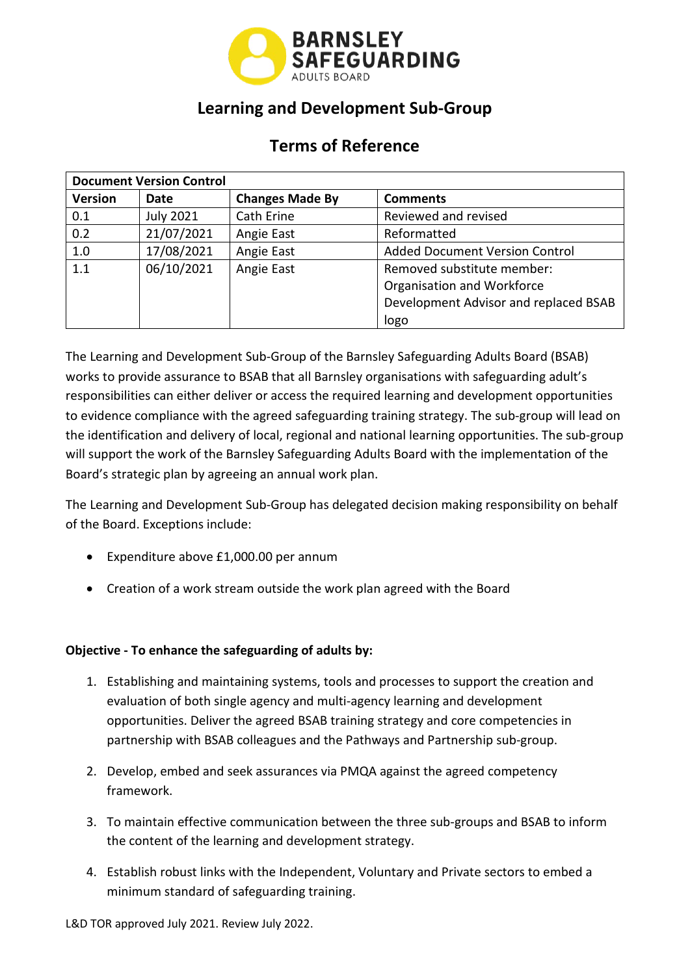

### **Learning and Development Sub-Group**

## **Terms of Reference**

| <b>Document Version Control</b> |                  |                        |                                       |  |  |  |
|---------------------------------|------------------|------------------------|---------------------------------------|--|--|--|
| <b>Version</b>                  | Date             | <b>Changes Made By</b> | <b>Comments</b>                       |  |  |  |
| 0.1                             | <b>July 2021</b> | Cath Erine             | Reviewed and revised                  |  |  |  |
| 0.2                             | 21/07/2021       | Angie East             | Reformatted                           |  |  |  |
| 1.0                             | 17/08/2021       | Angie East             | <b>Added Document Version Control</b> |  |  |  |
| 1.1                             | 06/10/2021       | Angie East             | Removed substitute member:            |  |  |  |
|                                 |                  |                        | Organisation and Workforce            |  |  |  |
|                                 |                  |                        | Development Advisor and replaced BSAB |  |  |  |
|                                 |                  |                        | logo                                  |  |  |  |

The Learning and Development Sub-Group of the Barnsley Safeguarding Adults Board (BSAB) works to provide assurance to BSAB that all Barnsley organisations with safeguarding adult's responsibilities can either deliver or access the required learning and development opportunities to evidence compliance with the agreed safeguarding training strategy. The sub-group will lead on the identification and delivery of local, regional and national learning opportunities. The sub-group will support the work of the Barnsley Safeguarding Adults Board with the implementation of the Board's strategic plan by agreeing an annual work plan.

The Learning and Development Sub-Group has delegated decision making responsibility on behalf of the Board. Exceptions include:

- Expenditure above £[1,000.00](https://1,000.00) per annum
- Creation of a work stream outside the work plan agreed with the Board

#### **Objective - To enhance the safeguarding of adults by:**

- 1. Establishing and maintaining systems, tools and processes to support the creation and evaluation of both single agency and multi-agency learning and development opportunities. Deliver the agreed BSAB training strategy and core competencies in partnership with BSAB colleagues and the Pathways and Partnership sub-group.
- 2. Develop, embed and seek assurances via PMQA against the agreed competency framework.
- 3. To maintain effective communication between the three sub-groups and BSAB to inform the content of the learning and development strategy.
- 4. Establish robust links with the Independent, Voluntary and Private sectors to embed a minimum standard of safeguarding training.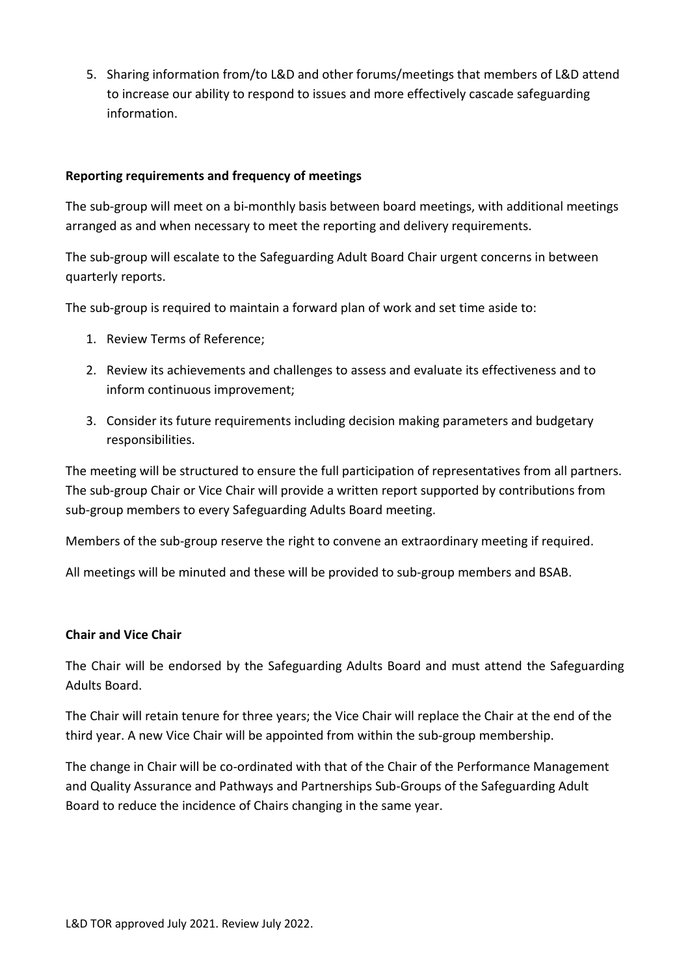5. Sharing information from/to L&D and other forums/meetings that members of L&D attend to increase our ability to respond to issues and more effectively cascade safeguarding information.

#### **Reporting requirements and frequency of meetings**

 The sub-group will meet on a bi-monthly basis between board meetings, with additional meetings arranged as and when necessary to meet the reporting and delivery requirements.

 The sub-group will escalate to the Safeguarding Adult Board Chair urgent concerns in between quarterly reports.

The sub-group is required to maintain a forward plan of work and set time aside to:

- 1. Review Terms of Reference;
- 2. Review its achievements and challenges to assess and evaluate its effectiveness and to inform continuous improvement;
- 3. Consider its future requirements including decision making parameters and budgetary responsibilities.

 The meeting will be structured to ensure the full participation of representatives from all partners. The sub-group Chair or Vice Chair will provide a written report supported by contributions from sub-group members to every Safeguarding Adults Board meeting.

Members of the sub-group reserve the right to convene an extraordinary meeting if required.

All meetings will be minuted and these will be provided to sub-group members and BSAB.

#### **Chair and Vice Chair**

The Chair will be endorsed by the Safeguarding Adults Board and must attend the Safeguarding Adults Board.

 The Chair will retain tenure for three years; the Vice Chair will replace the Chair at the end of the third year. A new Vice Chair will be appointed from within the sub-group membership.

 The change in Chair will be co-ordinated with that of the Chair of the Performance Management and Quality Assurance and Pathways and Partnerships Sub-Groups of the Safeguarding Adult Board to reduce the incidence of Chairs changing in the same year.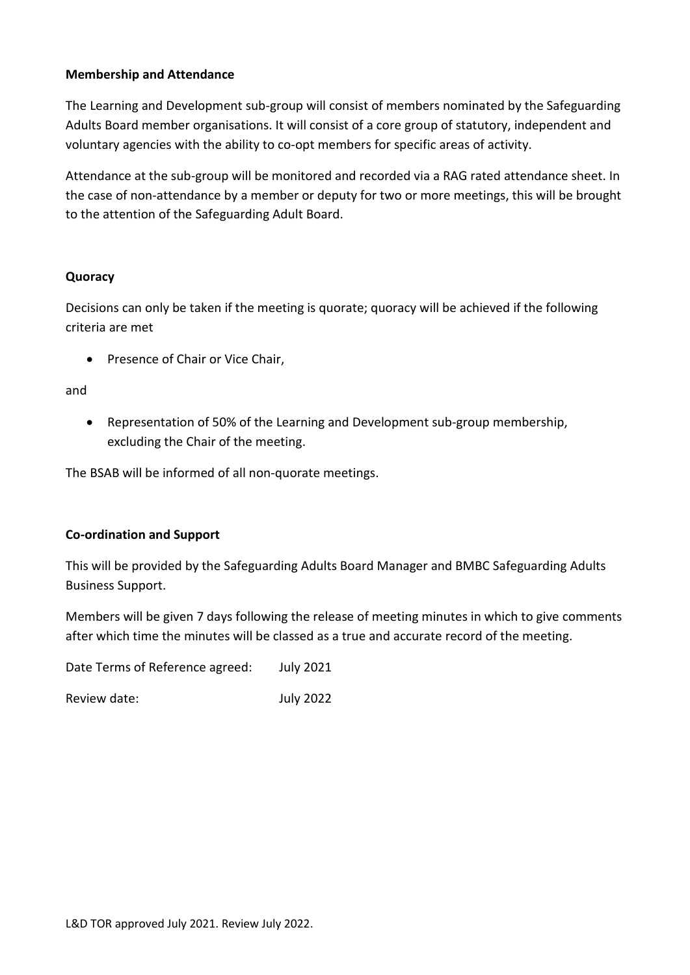#### **Membership and Attendance**

The Learning and Development sub-group will consist of members nominated by the Safeguarding Adults Board member organisations. It will consist of a core group of statutory, independent and voluntary agencies with the ability to co-opt members for specific areas of activity.

 the case of non-attendance by a member or deputy for two or more meetings, this will be brought Attendance at the sub-group will be monitored and recorded via a RAG rated attendance sheet. In to the attention of the Safeguarding Adult Board.

#### **Quoracy**

 Decisions can only be taken if the meeting is quorate; quoracy will be achieved if the following criteria are met

• Presence of Chair or Vice Chair,

and

• Representation of 50% of the Learning and Development sub-group membership, excluding the Chair of the meeting.

The BSAB will be informed of all non-quorate meetings.

#### **Co-ordination and Support**

This will be provided by the Safeguarding Adults Board Manager and BMBC Safeguarding Adults Business Support.

 Members will be given 7 days following the release of meeting minutes in which to give comments after which time the minutes will be classed as a true and accurate record of the meeting.

Date Terms of Reference agreed: July 2021

Review date:  $July 2022$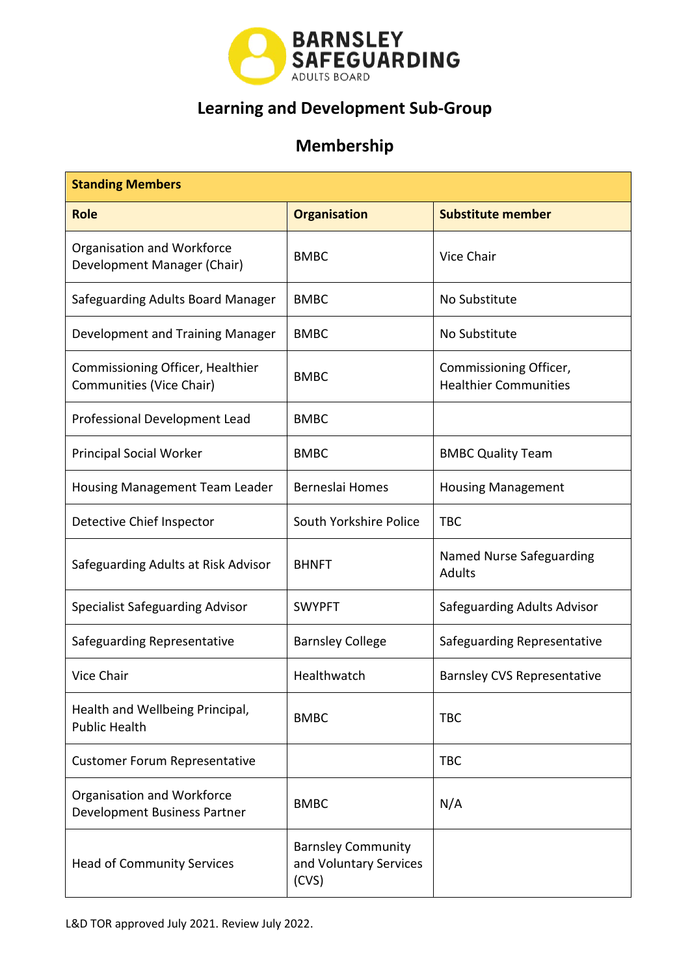

# **Learning and Development Sub-Group**

## **Membership**

| <b>Standing Members</b>                                           |                                                              |                                                        |  |  |  |  |  |
|-------------------------------------------------------------------|--------------------------------------------------------------|--------------------------------------------------------|--|--|--|--|--|
| <b>Role</b>                                                       | <b>Organisation</b>                                          | <b>Substitute member</b>                               |  |  |  |  |  |
| Organisation and Workforce<br>Development Manager (Chair)         | <b>BMBC</b>                                                  | <b>Vice Chair</b>                                      |  |  |  |  |  |
| Safeguarding Adults Board Manager                                 | <b>BMBC</b>                                                  | No Substitute                                          |  |  |  |  |  |
| Development and Training Manager                                  | <b>BMBC</b>                                                  | No Substitute                                          |  |  |  |  |  |
| Commissioning Officer, Healthier<br>Communities (Vice Chair)      | <b>BMBC</b>                                                  | Commissioning Officer,<br><b>Healthier Communities</b> |  |  |  |  |  |
| Professional Development Lead                                     | <b>BMBC</b>                                                  |                                                        |  |  |  |  |  |
| <b>Principal Social Worker</b>                                    | <b>BMBC</b>                                                  | <b>BMBC Quality Team</b>                               |  |  |  |  |  |
| <b>Housing Management Team Leader</b>                             | Berneslai Homes                                              | <b>Housing Management</b>                              |  |  |  |  |  |
| Detective Chief Inspector                                         | South Yorkshire Police                                       | <b>TBC</b>                                             |  |  |  |  |  |
| Safeguarding Adults at Risk Advisor                               | <b>BHNFT</b>                                                 | Named Nurse Safeguarding<br><b>Adults</b>              |  |  |  |  |  |
| <b>Specialist Safeguarding Advisor</b>                            | <b>SWYPFT</b>                                                | Safeguarding Adults Advisor                            |  |  |  |  |  |
| Safeguarding Representative                                       | <b>Barnsley College</b>                                      | Safeguarding Representative                            |  |  |  |  |  |
| Vice Chair                                                        | Healthwatch                                                  | <b>Barnsley CVS Representative</b>                     |  |  |  |  |  |
| Health and Wellbeing Principal,<br><b>Public Health</b>           | <b>BMBC</b>                                                  | <b>TBC</b>                                             |  |  |  |  |  |
| <b>Customer Forum Representative</b>                              |                                                              | <b>TBC</b>                                             |  |  |  |  |  |
| Organisation and Workforce<br><b>Development Business Partner</b> | <b>BMBC</b>                                                  | N/A                                                    |  |  |  |  |  |
| <b>Head of Community Services</b>                                 | <b>Barnsley Community</b><br>and Voluntary Services<br>(CVS) |                                                        |  |  |  |  |  |